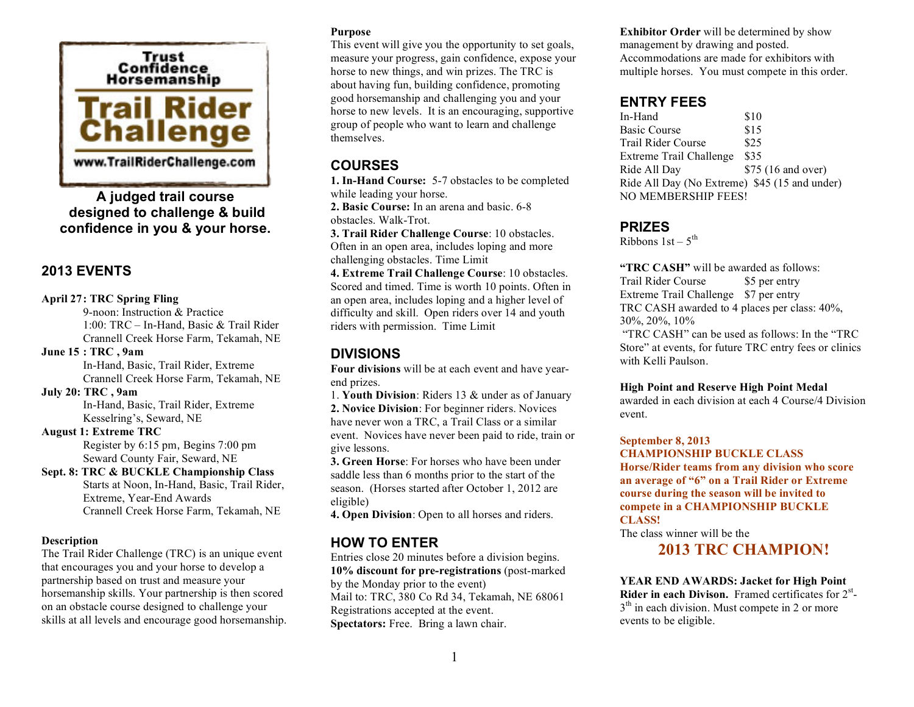

**A judged trail course designed to challenge & build confidence in you & your horse.**

## **2013 EVENTS**

#### **April 27: TRC Spring Fling**

9-noon: Instruction & Practice 1:00: TRC – In-Hand, Basic & Trail Rider Crannell Creek Horse Farm, Tekamah, NE **June 15 : TRC , 9am** In-Hand, Basic, Trail Rider, Extreme

Crannell Creek Horse Farm, Tekamah, NE

### **July 20: TRC , 9am**

In-Hand, Basic, Trail Rider, Extreme Kesselring's, Seward, NE

#### **August 1: Extreme TRC**

Register by 6:15 pm, Begins 7:00 pm Seward County Fair, Seward, NE

#### **Sept. 8: TRC & BUCKLE Championship Class** Starts at Noon, In-Hand, Basic, Trail Rider, Extreme, Year-End Awards Crannell Creek Horse Farm, Tekamah, NE

### **Description**

The Trail Rider Challenge (TRC) is an unique event that encourages you and your horse to develop a partnership based on trust and measure your horsemanship skills. Your partnership is then scored on an obstacle course designed to challenge your skills at all levels and encourage good horsemanship.

#### **Purpose**

This event will give you the opportunity to set goals, measure your progress, gain confidence, expose your horse to new things, and win prizes. The TRC is about having fun, building confidence, promoting good horsemanship and challenging you and your horse to new levels. It is an encouraging, supportive group of people who want to learn and challenge themselves.

# **COURSES**

**1. In-Hand Course:** 5-7 obstacles to be completed while leading your horse.

**2. Basic Course:** In an arena and basic. 6-8 obstacles. Walk-Trot.

**3. Trail Rider Challenge Course**: 10 obstacles. Often in an open area, includes loping and more challenging obstacles. Time Limit

**4. Extreme Trail Challenge Course**: 10 obstacles. Scored and timed. Time is worth 10 points. Often in an open area, includes loping and a higher level of difficulty and skill. Open riders over 14 and youth riders with permission. Time Limit

# **DIVISIONS**

**Four divisions** will be at each event and have yearend prizes.

1. **Youth Division**: Riders 13 & under as of January **2. Novice Division**: For beginner riders. Novices have never won a TRC, a Trail Class or a similar event. Novices have never been paid to ride, train or give lessons.

**3. Green Horse**: For horses who have been under saddle less than 6 months prior to the start of the season. (Horses started after October 1, 2012 are eligible)

**4. Open Division**: Open to all horses and riders.

## **HOW TO ENTER**

Entries close 20 minutes before a division begins. **10% discount for pre-registrations** (post-marked by the Monday prior to the event) Mail to: TRC, 380 Co Rd 34, Tekamah, NE 68061 Registrations accepted at the event. **Spectators:** Free. Bring a lawn chair.

**Exhibitor Order** will be determined by show management by drawing and posted. Accommodations are made for exhibitors with multiple horses. You must compete in this order.

## **ENTRY FEES**

In-Hand \$10 Basic Course \$15 Trail Rider Course \$25 Extreme Trail Challenge \$35 Ride All Day \$75 (16 and over) Ride All Day (No Extreme) \$45 (15 and under) NO MEMBERSHIP FEES!

### **PRIZES**

Ribbons  $1st - 5<sup>th</sup>$ 

**"TRC CASH"** will be awarded as follows: Trail Rider Course \$5 per entry Extreme Trail Challenge \$7 per entry TRC CASH awarded to 4 places per class: 40%, 30%, 20%, 10%

 "TRC CASH" can be used as follows: In the "TRC Store" at events, for future TRC entry fees or clinics with Kelli Paulson.

#### **High Point and Reserve High Point Medal**

awarded in each division at each 4 Course/4 Division event.

#### **September 8, 2013**

**CHAMPIONSHIP BUCKLE CLASS Horse/Rider teams from any division who score an average of "6" on a Trail Rider or Extreme course during the season will be invited to compete in a CHAMPIONSHIP BUCKLE CLASS!**

The class winner will be the

# **2013 TRC CHAMPION!**

**YEAR END AWARDS: Jacket for High Point Rider in each Divison.** Framed certificates for 2<sup>st</sup>- $3<sup>th</sup>$  in each division. Must compete in 2 or more events to be eligible.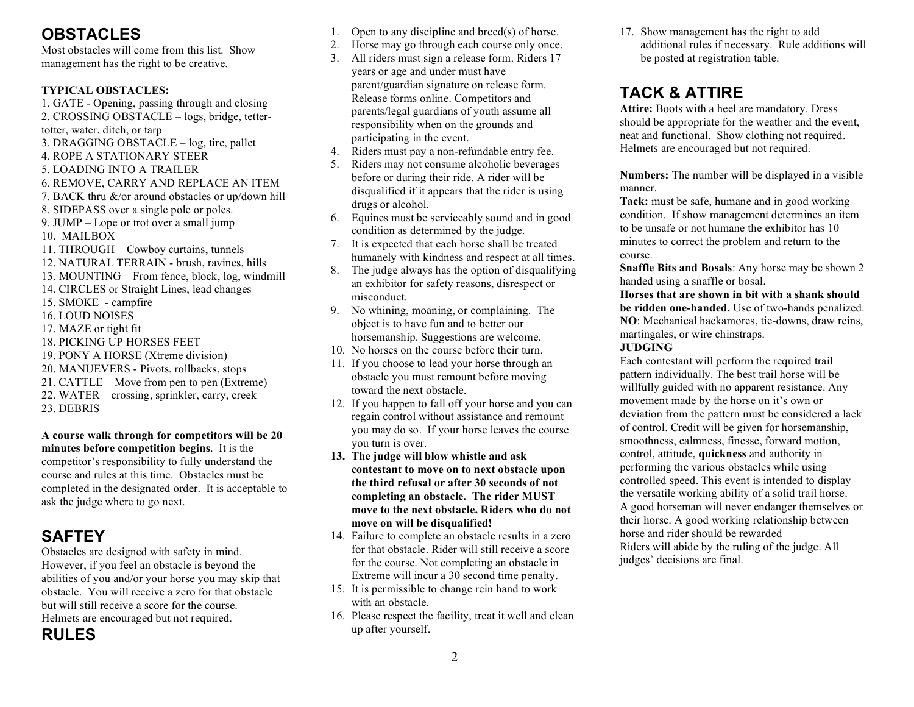# **OBSTACLES**

Most obstacles will come from this list. Show management has the right to be creative.

### **TYPICAL OBSTACLES:**

1. GATE - Opening, passing through and closing 2. CROSSING OBSTACLE – logs, bridge, tettertotter, water, ditch, or tarp 3. DRAGGING OBSTACLE – log, tire, pallet 4. ROPE A STATIONARY STEER 5. LOADING INTO A TRAILER 6. REMOVE, CARRY AND REPLACE AN ITEM 7. BACK thru &/or around obstacles or up/down hill 8. SIDEPASS over a single pole or poles. 9. JUMP – Lope or trot over a small jump 10. MAILBOX 11. THROUGH – Cowboy curtains, tunnels 12. NATURAL TERRAIN - brush, ravines, hills 13. MOUNTING – From fence, block, log, windmill 14. CIRCLES or Straight Lines, lead changes 15. SMOKE - campfire 16. LOUD NOISES 17. MAZE or tight fit 18. PICKING UP HORSES FEET 19. PONY A HORSE (Xtreme division) 20. MANUEVERS - Pivots, rollbacks, stops 21. CATTLE – Move from pen to pen (Extreme) 22. WATER – crossing, sprinkler, carry, creek 23. DEBRIS

**A course walk through for competitors will be 20 minutes before competition begins**. It is the competitor's responsibility to fully understand the course and rules at this time. Obstacles must be completed in the designated order. It is acceptable to ask the judge where to go next.

# **SAFTEY**

Obstacles are designed with safety in mind. However, if you feel an obstacle is beyond the abilities of you and/or your horse you may skip that obstacle. You will receive a zero for that obstacle but will still receive a score for the course. Helmets are encouraged but not required.

**RULES**

- 1. Open to any discipline and breed(s) of horse.
- 2. Horse may go through each course only once.
- 3. All riders must sign a release form. Riders 17 years or age and under must have parent/guardian signature on release form. Release forms online. Competitors and parents/legal guardians of youth assume all responsibility when on the grounds and participating in the event.
- 4. Riders must pay a non-refundable entry fee.
- 5. Riders may not consume alcoholic beverages before or during their ride. A rider will be disqualified if it appears that the rider is using drugs or alcohol.
- 6. Equines must be serviceably sound and in good condition as determined by the judge.
- 7. It is expected that each horse shall be treated humanely with kindness and respect at all times.
- 8. The judge always has the option of disqualifying an exhibitor for safety reasons, disrespect or misconduct.
- 9. No whining, moaning, or complaining. The object is to have fun and to better our horsemanship. Suggestions are welcome.
- 10. No horses on the course before their turn.
- 11. If you choose to lead your horse through an obstacle you must remount before moving toward the next obstacle.
- 12. If you happen to fall off your horse and you can regain control without assistance and remount you may do so. If your horse leaves the course you turn is over.
- **13. The judge will blow whistle and ask contestant to move on to next obstacle upon the third refusal or after 30 seconds of not completing an obstacle. The rider MUST move to the next obstacle. Riders who do not move on will be disqualified!**
- 14. Failure to complete an obstacle results in a zero for that obstacle. Rider will still receive a score for the course. Not completing an obstacle in Extreme will incur a 30 second time penalty.
- 15. It is permissible to change rein hand to work with an obstacle.
- 16. Please respect the facility, treat it well and clean up after yourself.

17. Show management has the right to add additional rules if necessary. Rule additions will be posted at registration table.

# **TACK & ATTIRE**

**Attire:** Boots with a heel are mandatory. Dress should be appropriate for the weather and the event, neat and functional. Show clothing not required. Helmets are encouraged but not required.

**Numbers:** The number will be displayed in a visible manner.

**Tack:** must be safe, humane and in good working condition. If show management determines an item to be unsafe or not humane the exhibitor has 10 minutes to correct the problem and return to the course.

**Snaffle Bits and Bosals**: Any horse may be shown 2 handed using a snaffle or bosal.

**Horses that are shown in bit with a shank should be ridden one-handed.** Use of two-hands penalized. **NO**: Mechanical hackamores, tie-downs, draw reins, martingales, or wire chinstraps.

#### **JUDGING**

Each contestant will perform the required trail pattern individually. The best trail horse will be willfully guided with no apparent resistance. Any movement made by the horse on it's own or deviation from the pattern must be considered a lack of control. Credit will be given for horsemanship, smoothness, calmness, finesse, forward motion, control, attitude, **quickness** and authority in performing the various obstacles while using controlled speed. This event is intended to display the versatile working ability of a solid trail horse. A good horseman will never endanger themselves or their horse. A good working relationship between horse and rider should be rewarded Riders will abide by the ruling of the judge. All judges' decisions are final.